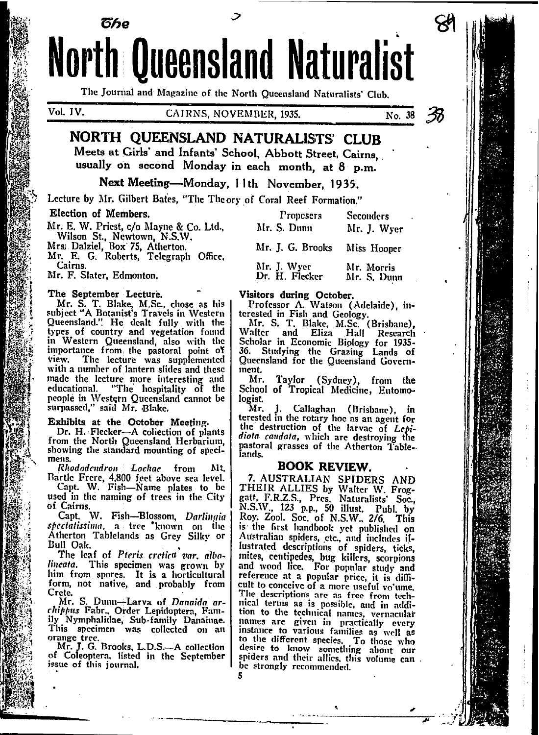**North Queensland Naturalist** The Journal and Magazine of the North Queensland Naturalists' Club.

Vol. IV.

**CAIRNS, NOVEMBER, 1935.** 

No. 38

# NORTH QUEENSLAND NATURALISTS' CLUB

Meets at Girls' and Infants' School, Abbott Street, Cairns. usually on second Monday in each month, at 8 p.m.

## Next Meeting-Monday, 11th November, 1935.

Lecture by Mr. Gilbert Bates, "The Theory of Coral Reef Formation."

#### Election of Members.

Mr. E. W. Priest, c/o Mayne & Co. Ltd., Wilson St., Newtown, N.S.W.<br>Mrs. Dalziel, Box 75, Atherton.

წჩი

Mr. E. G. Roberts, Telegraph Office, Cairns.

Mr. F. Slater, Edmonton.

#### The September Lecture.

Mr. S. T. Blake, M.Sc., chose as his<br>subject "A Botanist's Travels in Western Queensland." He dealt fully with the types of country and vegetation found in Western Queensland, also with the importance from the pastoral point of view. The lecture was supplemented with a number of lantern slides and these made the lecture more interesting and educational. "The hospitality of the people in Western Queensland cannot be surpassed," said Mr. Blake.

Exhibits at the October Meeting.<br>Dr. H. Flecker-A collection of plants from the North Queensland Herbarium,<br>showing the standard mounting of specimens.

Rhododendron Lochae from Bartle Frere, 4,800 feet above sea level.

Capt. W. Fish-Name plates to be used in the naming of trees in the City of Cairns.

Capt. W. Fish-Blossom, Darlingia spectatissima, a tree known on the Atherton Tablelands as Grey Silky or Bull Oak.

The leaf of Pteris cretica var, albolincata. This specimen was grown by him from spores. It is a horticultural form, not native, and probably from Crete.

Mr. S. Dunu-Larva of Danaida archippus Fabr., Order Lepidoptera, Family Nymphalidae, Sub-family Danainae.<br>This specimen was collected on an orange tree.<br>Mr. J. G. Brooks, L.D.S.--A collection

of Coleoptera, listed in the September issue of this journal.

| Proposers<br>Mr. S. Dunn      | Seconders<br>Mr. J. Wyer  |
|-------------------------------|---------------------------|
| Mr. J. G. Brooks              | Miss Hooper               |
| Mr. J. Wyer<br>Dr. H. Flecker | Mr. Morris<br>Mr. S. Dunn |

Visitors during October.<br>Professor A. Watson (Adelaide), in-

Figure 1. We also the Color Contract of the Mr. S. T. Blake, M.Sc. (Brisbane),<br>Mr. S. T. Blake, M.Sc. (Brisbane),<br>Walter and Eliza Hall Research<br>Scholar in Economic Biology for 1935-<br>36. Studying the Grazing Lands of Queensland for the Queensland Government.

Mr. Taylor (Sydney), from the School of Tropical Medicine, Entomologist.

Callaghan (Brisbane), in Mr. J. terested in the rotary hoc as an agent for the destruction of the larvae of Lepidiota caudata, which are destroying the pastoral grasses of the Atherton Tablelands.

#### **BOOK REVIEW.**

7. AUSTRALIAN SPIDERS AND<br>THEIR ALLIES by Walter W. Froggatt, F.R.Z.S., Pres. Naturalists' Soc.,<br>N.S.W., 123 p.p., 50 illust. Publ. by<br>Roy. Zool. Soc. of N.S.W., 2/6. This is the first handbook yet published on Australian spiders, etc., and includes illustrated descriptions of spiders, ticks, mites, centipedes, bug killers, scorpions and wood lice. For popular study and reference at a popular price, it is diffi-The descriptions are as free from technical terms as is possible, and in addition to the technical names, vernacular names are given in practically every to the different species. To those who desire to know something about our spiders and their allies, this volume can. be strongly recommended.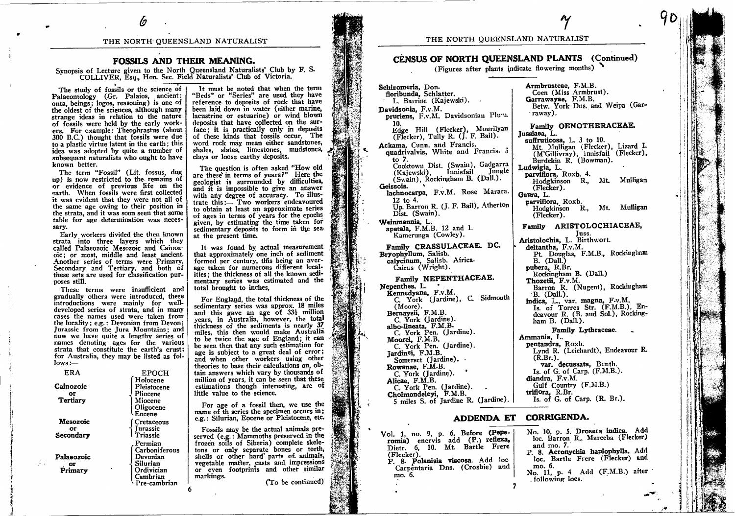#### THE NORTH QUEENSLAND NATURALIST

### FOSSII.S AND THEIR MEANING.

r  $\acute{\varrho}$ 

Synopsis of Lecture given to the North Queensland Naturalists' Club by F. S. COLLIVER, Esq., Hon. Sec. Field Naturalists' Club of Victoria.

The study of fossils or the science of Palaeontology (Gr. Palaios, ancient: onta, beings; logos, reasoning) is one of the oldest of the sciences, although many stranse ideas in relation to the nature of fossils were held by the early workers. For example: Theophrastus (about 300 B.C.) thought that fossils were due to a plastic virtue latent in the earth; this to a plastic virtue latent in the earth; this<br>idea was adopted by quite a number of subsequent naturalists who ought to have known better.

The term "Fossil" (Lit. fossus, dug uo) is now restricted to the remains of or evidence of previous life on the earth. When fossils were first collected it was evident that they were not all of the same age owing to their position in the strata, and it was soon seen that some table for age determination was necessary,

Early workers divided the then known strata into three layers which they called Palaeozoic Mesozoic and Cainozoic; or most, middle and least ancient. Another series of terms were Primary, Secondary and Tertiary, and both of these sets are used for classification purposes still.

These terms were insufficient and graduatly others were introduced, these introductions were mainlv for welldeveloped series of strata, and in many cases the names used were taken from the locality; e.g.: Devonian from Devon; Jurassic from the Jura Mountains; and now we have quite a lengthy series of names denoting ages for the various strata that constitute the earth's crusti for Australia, they may be listed as {ol $lows :=$ 

| ERA                         | <b>EPOCH</b>                                                                               |
|-----------------------------|--------------------------------------------------------------------------------------------|
| Cainozoic<br>OF<br>Tertiary | Holocene<br>Pleistocene<br>Pliocene<br>Miocene<br>Oligocene<br>Eocene                      |
| Mesozoic                    | Cretaceous<br><b>Iurassic</b>                                                              |
| or<br>Secondary             | Triassic                                                                                   |
| Palaeozoic<br>Primary       | Permian<br>Carboniferous<br>Devonian<br>Silurian<br>Ordivician<br>Cambrian<br>'re-cambrian |

l

It must be noted that when the term "Beds" or "Series" are used they have refereuce to deposits of rock that have been laid down-in water (either marine, lacustrine or estuarine) or wind blown deoosits that have collected on the surface; it is practically only in deposits of these kinds that fossils occur. The word rock may mean either sandstones, shates, slates, limestones, mudstones, clays or loose earthy deposits.

The question is often asked "How old are these' in terms of years?" Here the geologist is surrounded by difficulties, and it is impossible to give an answer with any degree of accuracy. To illustrate this:- Two workers endeavoured to obtain at least an approximate series of ages in terms of years for the epochs given. by estimating the time taken for sedimentary deposits to form in the seaat the present time.

It was found by actual measurement that approximately one inch of sediment formed per century, this being an average taken for numerous different localities: the thickness of all the known sedimeniary series was estimated and the total brought to inches.

For England, the total thickness of the For England, the total thickness of the<br>sedimentary series was approx. 18 miles and this gave an age of  $33\frac{1}{2}$  million years, in Australia, however, the total thickness of the sediments is nearly 37 miles, this then would make Australia to be twice the age of England; it can be seen then that any such estimation for age is subject to a great deal of error; age is subject to a great deal of error;<br>and when other workers using other theories to base their calculations on, obtain answers which vary by thousands of million of years, it can be seen that these estimations though interesting, are of little value to the science.

For age of a fossil then, we use the name of th series the specimen occurs in; e.g.: Siturian, Eocene or Pleistocene, etc

Fossils may be the actual animals preserved (e.g.: Mammoths preserved in the frozen soils of Siberia) complete skeletons or only separate bones or teeth, shells or other hard' parts of animals, vegetable matter, casts and impressions or even footprints and other similar markings. (To be continued)

### THE NORTH QUEENSLAND NATURALIST

# CENSUS OF NORTH QUEENSLAND PLANTS (Continued)

(Figures after plants indicate flowering months)

A1I

Armbrusteae, F.M.B. Coen (Miss Armbrust).<br>Garrawayae, F.M.B.

Schizomeria, Don.<br>floribunda, Schlatter. L. Barrine (Kajewski). . Davidsonia, F.v.M. pruriens, F.v.M. Davidsonian Plu'u. 10. Edge Hill (Flecker), Mourilyan (Flecker), Tully R. (J. F. Bail).<br>Ackama, Cunn. and Francis. quadrivalvis, White and Francis. 3 to 7. Cooktown Dist. (Swain), Gadgarra (Kajewski), Innisfail Jungle (Swain), Rockingham B. (Dall.).<br>Geissois. Geissois.<br>lachnocarpa, F.v.M. Rose Marara 12 io 4. Up. Barron R. (J. F. Bail), Atherton Dist. (Swain). Weinmannia, L. apetala. F.M.B. 12 and l. Kamerunga (Cowley). Family CRASSULACEAE. DC. Bryophyllum, Salisb. calycinum, Salisb. Africa. Cairns (Wright). Family NEPENTHACEAE.<br>Nepenthes, L. Nepenthes, L.<br>
Kennedyana, F.v.M.<br>
C. York (Jardine), C. Sidmouth<br>
(Moore). Bernaysii, F.M.B. C. York (Jardine).<br>albo-lineata, F.M.B. C. York Pen. (Jardine). Moorei. F.M.B. C. York Pen. (Jardine).<br>Jardinei, F.M.B. Somerset (Jardine). -Rowanae, F.M.B' C. York (Jardine).<br>Alicae, F.M.B. C. York Pen. (Jardine).<br>Cholmondeleyi, F.M.B. 5 miles S. of Jardine R. (Jardine).

.

Vol. 1, no. 9, p. 6. Before (Pepe- No. 10, p. 5. Drosera indica. Add<br>
romia) enervis add (P.) reflexa, loc. Barron R., Mareeba (Flecker)<br>
Dietr. 6, 10. Mt. Bartle Frere and mo. 7.<br>
(Flecker).

p. g. polanisia viscosa. Add loc. Bartle Frere (Flecker) and P. 8. Polanisia viscosa. Add loc. Bartle Frere (Flecker) and I xform Carpentaria Dns. (Crosbie) and I xform Carpiniaria Dns. (Crosbie) and I xform Collowing locs Carpentaria Dns. (Crosbie) and

'raway). Family OENOTHERACEAE.<br>Jussiaea, L. suffruticosa, L. 3 to 10. Mt. Mulligan (Flecker), Lizard I. (M'Gillivray), lunisfail (Flecker), Burdekin R. (Bowman). Ludwigia, L.<br>parviflora, Roxb. 4. Hodgkinson R., Mt. Mulligan (Ftecker). Gaura, L.<br>parviflora, Roxb. Hodgkinson R., Mt. Mulligan (Flecker). Family ARISTOLOCHIACEAT, Juss. Aristolochia, L. Birthwort. deltantha. F.v.M. Pt. Douglas, F.M.B., Rockingham B. (Dall.)<br>pubera, R.Br. Rockingham B. (Dall.) Thozetii. F.v.M. Barron R. (Nugent), Rockingham<br>B. (Dall.). indica, L., var. magna, F.v.M. Is. of Torres Str. (F.M.B.), Endeavour R. (B. and Sol.), Rockingham B. (Dall.). Family Lythraceae. Ammania, L.<br>pentandra, Roxb. Lynd R. (Leichardt), Endeavour R.

Betw. York Dns. and Weipa (Gar-

(R.Br.). Yar. decussata, Benth. Is. of G. of Carp.  $(F.M.B.)$ . diandra, F.v.M. Gulf Country (F.M.B.) triflora, R.Br. Is. of G. of Carp.  $(R, Br.)$ .

## ADDENDA ET CORRIGENDA.